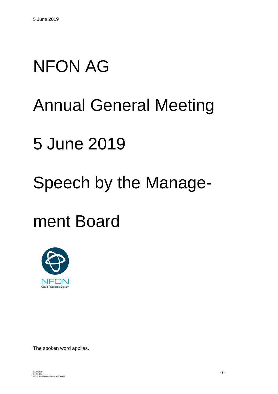# NFON AG

### Annual General Meeting

### 5 June 2019

## Speech by the Manage-

### ment Board



The spoken word applies.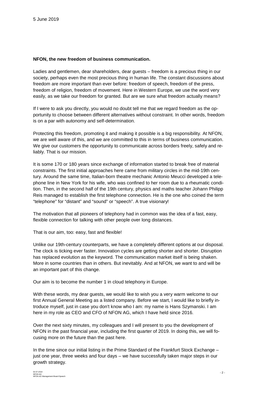#### **NFON, the new freedom of business communication.**

Ladies and gentlemen, dear shareholders, dear guests – freedom is a precious thing in our society, perhaps even the most precious thing in human life. The constant discussions about freedom are more important than ever before: freedom of speech, freedom of the press, freedom of religion, freedom of movement. Here in Western Europe, we use the word very easily, as we take our freedom for granted. But are we sure what freedom actually means?

If I were to ask you directly, you would no doubt tell me that we regard freedom as the opportunity to choose between different alternatives without constraint. In other words, freedom is on a par with autonomy and self-determination.

Protecting this freedom, promoting it and making it possible is a big responsibility. At NFON, we are well aware of this, and we are committed to this in terms of business communication. We give our customers the opportunity to communicate across borders freely, safely and reliably. That is our mission.

It is some 170 or 180 years since exchange of information started to break free of material constraints. The first initial approaches here came from military circles in the mid-19th century. Around the same time, Italian-born theatre mechanic Antonio Meucci developed a telephone line in New York for his wife, who was confined to her room due to a rheumatic condition. Then, in the second half of the 19th century, physics and maths teacher Johann Philipp Reis managed to establish the first telephone connection. He is the one who coined the term "telephone" for "distant" and "sound" or "speech". A true visionary!

The motivation that all pioneers of telephony had in common was the idea of a fast, easy, flexible connection for talking with other people over long distances.

That is our aim, too: easy, fast and flexible!

Unlike our 19th-century counterparts, we have a completely different options at our disposal. The clock is ticking ever faster. Innovation cycles are getting shorter and shorter. Disruption has replaced evolution as the keyword. The communication market itself is being shaken. More in some countries than in others. But inevitably. And at NFON, we want to and will be an important part of this change.

Our aim is to become the number 1 in cloud telephony in Europe.

With these words, my dear guests, we would like to wish you a very warm welcome to our first Annual General Meeting as a listed company. Before we start, I would like to briefly introduce myself, just in case you don't know who I am: my name is Hans Szymanski. I am here in my role as CEO and CFO of NFON AG, which I have held since 2016.

Over the next sixty minutes, my colleagues and I will present to you the development of NFON in the past financial year, including the first quarter of 2019. In doing this, we will focusing more on the future than the past here.

In the time since our initial listing in the Prime Standard of the Frankfurt Stock Exchange – just one year, three weeks and four days – we have successfully taken major steps in our growth strategy.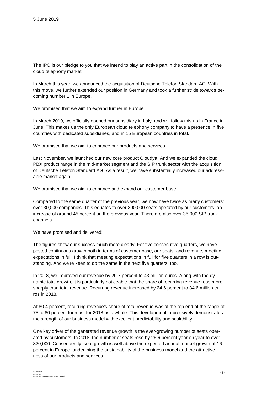The IPO is our pledge to you that we intend to play an active part in the consolidation of the cloud telephony market.

In March this year, we announced the acquisition of Deutsche Telefon Standard AG. With this move, we further extended our position in Germany and took a further stride towards becoming number 1 in Europe.

We promised that we aim to expand further in Europe.

In March 2019, we officially opened our subsidiary in Italy, and will follow this up in France in June. This makes us the only European cloud telephony company to have a presence in five countries with dedicated subsidiaries, and in 15 European countries in total.

We promised that we aim to enhance our products and services.

Last November, we launched our new core product Cloudya. And we expanded the cloud PBX product range in the mid-market segment and the SIP trunk sector with the acquisition of Deutsche Telefon Standard AG. As a result, we have substantially increased our addressable market again.

We promised that we aim to enhance and expand our customer base.

Compared to the same quarter of the previous year, we now have twice as many customers: over 30,000 companies. This equates to over 390,000 seats operated by our customers, an increase of around 45 percent on the previous year. There are also over 35,000 SIP trunk channels.

We have promised and delivered!

The figures show our success much more clearly. For five consecutive quarters, we have posted continuous growth both in terms of customer base, our seats, and revenue, meeting expectations in full. I think that meeting expectations in full for five quarters in a row is outstanding. And we're keen to do the same in the next five quarters, too.

In 2018, we improved our revenue by 20.7 percent to 43 million euros. Along with the dynamic total growth, it is particularly noticeable that the share of recurring revenue rose more sharply than total revenue. Recurring revenue increased by 24.6 percent to 34.6 million euros in 2018.

At 80.4 percent, recurring revenue's share of total revenue was at the top end of the range of 75 to 80 percent forecast for 2018 as a whole. This development impressively demonstrates the strength of our business model with excellent predictability and scalability.

One key driver of the generated revenue growth is the ever-growing number of seats operated by customers. In 2018, the number of seats rose by 26.6 percent year on year to over 320,000. Consequently, seat growth is well above the expected annual market growth of 16 percent in Europe, underlining the sustainability of the business model and the attractiveness of our products and services.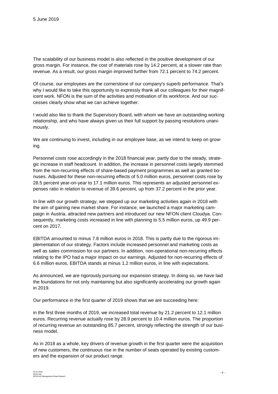The scalability of our business model is also reflected in the positive development of our gross margin. For instance, the cost of materials rose by 14.2 percent, at a slower rate than revenue. As a result, our gross margin improved further from 72.1 percent to 74.2 percent.

Of course, our employees are the cornerstone of our company's superb performance. That's why I would like to take this opportunity to expressly thank all our colleagues for their magnificent work. NFON is the sum of the activities and motivation of its workforce. And our successes clearly show what we can achieve together.

I would also like to thank the Supervisory Board, with whom we have an outstanding working relationship, and who have always given us their full support by passing resolutions unanimously.

We are continuing to invest, including in our employee base, as we intend to keep on growing.

Personnel costs rose accordingly in the 2018 financial year, partly due to the steady, strategic increase in staff headcount. In addition, the increase in personnel costs largely stemmed from the non-recurring effects of share-based payment programmes as well as granted bonuses. Adjusted for these non-recurring effects of 5.0 million euros, personnel costs rose by 28.5 percent year-on-year to 17.1 million euros. This represents an adjusted personnel expenses ratio in relation to revenue of 39.6 percent, up from 37.2 percent in the prior year.

In line with our growth strategy, we stepped up our marketing activities again in 2018 with the aim of gaining new market share. For instance, we launched a major marketing campaign in Austria, attracted new partners and introduced our new NFON client Cloudya. Consequently, marketing costs increased in line with planning to 5.5 million euros, up 49.9 percent on 2017.

EBITDA amounted to minus 7.8 million euros in 2018. This is partly due to the rigorous implementation of our strategy. Factors include increased personnel and marketing costs as well as sales commission for our partners. In addition, non-operational non-recurring effects relating to the IPO had a major impact on our earnings. Adjusted for non-recurring effects of 6.6 million euros, EBITDA stands at minus 1.2 million euros, in line with expectations.

As announced, we are rigorously pursuing our expansion strategy. In doing so, we have laid the foundations for not only maintaining but also significantly accelerating our growth again in 2019.

Our performance in the first quarter of 2019 shows that we are succeeding here:

in the first three months of 2019, we increased total revenue by 21.2 percent to 12.1 million euros. Recurring revenue actually rose by 28.9 percent to 10.4 million euros. The proportion of recurring revenue an outstanding 85.7 percent, strongly reflecting the strength of our business model.

As in 2018 as a whole, key drivers of revenue growth in the first quarter were the acquisition of new customers, the continuous rise in the number of seats operated by existing customers and the expansion of our product range.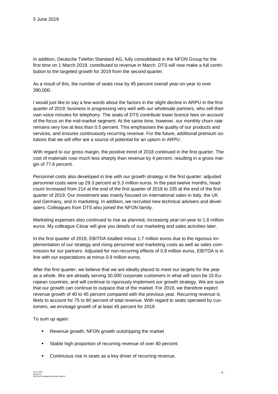In addition, Deutsche Telefon Standard AG, fully consolidated in the NFON Group for the first time on 1 March 2019, contributed to revenue in March. DTS will now make a full contribution to the targeted growth for 2019 from the second quarter.

As a result of this, the number of seats rose by 45 percent overall year-on-year to over 390,000.

I would just like to say a few words about the factors in the slight decline in ARPU in the first quarter of 2019: business is progressing very well with our wholesale partners, who sell their own voice minutes for telephony. The seats of DTS contribute lower licence fees on account of the focus on the mid-market segment. At the same time, however, our monthly churn rate remains very low at less than 0.5 percent. This emphasises the quality of our products and services, and ensures continuously recurring revenue. For the future, additional premium solutions that we will offer are a source of potential for an upturn in ARPU.

With regard to our gross margin, the positive trend of 2018 continued in the first quarter. The cost of materials rose much less sharply than revenue by 4 percent, resulting in a gross margin of 77.8 percent.

Personnel costs also developed in line with our growth strategy in the first quarter: adjusted personnel costs were up 29.3 percent at 5.3 million euros. In the past twelve months, headcount increased from 214 at the end of the first quarter of 2018 to 335 at the end of the first quarter of 2019. Our investment was mainly focused on international sales in Italy, the UK and Germany, and in marketing. In addition, we recruited new technical advisers and developers. Colleagues from DTS also joined the NFON family.

Marketing expenses also continued to rise as planned, increasing year-on-year to 1.8 million euros. My colleague César will give you details of our marketing and sales activities later.

In the first quarter of 2019, EBITDA totalled minus 1.7 million euros due to the rigorous implementation of our strategy and rising personnel and marketing costs as well as sales commission for our partners. Adjusted for non-recurring effects of 0.8 million euros, EBITDA is in line with our expectations at minus 0.9 million euros.

After the first quarter, we believe that we are ideally placed to meet our targets for the year as a whole. We are already serving 30,000 corporate customers in what will soon be 15 European countries, and will continue to rigorously implement our growth strategy. We are sure that our growth can continue to outpace that of the market. For 2019, we therefore expect revenue growth of 40 to 45 percent compared with the previous year. Recurring revenue is likely to account for 75 to 80 percent of total revenue. With regard to seats operated by customers, we envisage growth of at least 45 percent for 2019.

To sum up again:

- **Revenue growth, NFON growth outstripping the market**
- **Stable high proportion of recurring revenue of over 80 percent**
- Continuous rise in seats as a key driver of recurring revenue.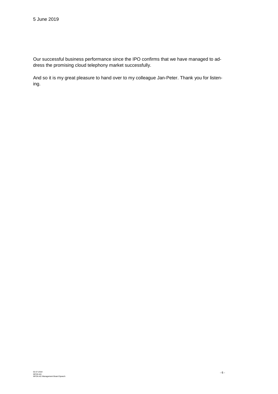Our successful business performance since the IPO confirms that we have managed to address the promising cloud telephony market successfully.

And so it is my great pleasure to hand over to my colleague Jan-Peter. Thank you for listening.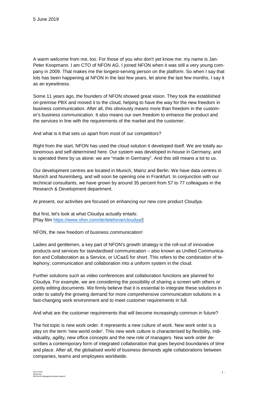A warm welcome from me, too. For those of you who don't yet know me: my name is Jan-Peter Koopmann. I am CTO of NFON AG. I joined NFON when it was still a very young company in 2009. That makes me the longest-serving person on the platform. So when I say that lots has been happening at NFON in the last few years, let alone the last few months, I say it as an eyewitness.

Some 11 years ago, the founders of NFON showed great vision. They took the established on-premise PBX and moved it to the cloud, helping to have the way for the new freedom in business communication. After all, this obviously means more than freedom in the customer's business communication. It also means our own freedom to enhance the product and the services in line with the requirements of the market and the customer.

And what is it that sets us apart from most of our competitors?

Right from the start, NFON has used the cloud solution it developed itself. We are totally autonomous and self-determined here. Our system was developed in-house in Germany, and is operated there by us alone: we are "made in Germany". And this still means a lot to us.

Our development centres are located in Munich, Mainz and Berlin. We have data centres in Munich and Nuremberg, and will soon be opening one in Frankfurt. In conjunction with our technical consultants, we have grown by around 35 percent from 57 to 77 colleagues in the Research & Development department.

At present, our activities are focused on enhancing our new core product Cloudya.

But first, let's look at what Cloudya actually entails: [Play film [https://www.nfon.com/de/telefonie/cloudya/\]](https://www.nfon.com/de/telefonie/cloudya/)

NFON, the new freedom of business communication!

Ladies and gentlemen, a key part of NFON's growth strategy is the roll-out of innovative products and services for standardised communication – also known as Unified Communication and Collaboration as a Service, or UCaaS for short. This refers to the combination of telephony, communication and collaboration into a uniform system in the cloud.

Further solutions such as video conferences and collaboration functions are planned for Cloudya. For example, we are considering the possibility of sharing a screen with others or jointly editing documents. We firmly believe that it is essential to integrate these solutions in order to satisfy the growing demand for more comprehensive communication solutions in a fast-changing work environment and to meet customer requirements in full.

And what are the customer requirements that will become increasingly common in future?

The hot topic is new work order. It represents a new culture of work. New work order is a play on the term 'new world order'. This new work culture is characterised by flexibility, individuality, agility, new office concepts and the new role of managers. New work order describes a contemporary form of integrated collaboration that goes beyond boundaries of time and place. After all, the globalised world of business demands agile collaborations between companies, teams and employees worldwide.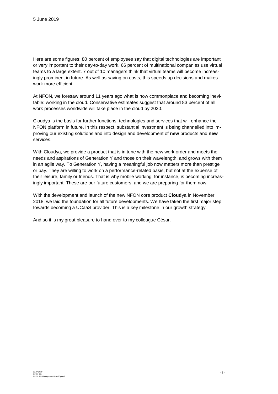Here are some figures: 80 percent of employees say that digital technologies are important or very important to their day-to-day work. 66 percent of multinational companies use virtual teams to a large extent. 7 out of 10 managers think that virtual teams will become increasingly prominent in future. As well as saving on costs, this speeds up decisions and makes work more efficient.

At NFON, we foresaw around 11 years ago what is now commonplace and becoming inevitable: working in the cloud. Conservative estimates suggest that around 83 percent of all work processes worldwide will take place in the cloud by 2020.

Cloudya is the basis for further functions, technologies and services that will enhance the NFON platform in future. In this respect, substantial investment is being channelled into improving our existing solutions and into design and development of **new** products and **new** services.

With Cloudya, we provide a product that is in tune with the new work order and meets the needs and aspirations of Generation Y and those on their wavelength, and grows with them in an agile way. To Generation Y, having a meaningful job now matters more than prestige or pay. They are willing to work on a performance-related basis, but not at the expense of their leisure, family or friends. That is why mobile working, for instance, is becoming increasingly important. These are our future customers, and we are preparing for them now.

With the development and launch of the new NFON core product **Cloud**ya in November 2018, we laid the foundation for all future developments. We have taken the first major step towards becoming a UCaaS provider. This is a key milestone in our growth strategy.

And so it is my great pleasure to hand over to my colleague César.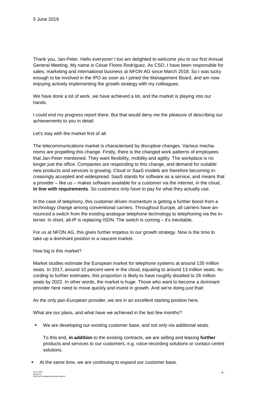Thank you, Jan-Peter. Hello everyone! I too am delighted to welcome you to our first Annual General Meeting. My name is César Flores Rodríguez. As CSO, I have been responsible for sales, marketing and international business at NFON AG since March 2018. So I was lucky enough to be involved in the IPO as soon as I joined the Management Board, and am now enjoying actively implementing the growth strategy with my colleagues.

We have done a lot of work, we have achieved a lot, and the market is playing into our hands.

I could end my progress report there. But that would deny me the pleasure of describing our achievements to you in detail.

Let's stay with the market first of all.

The telecommunications market is characterised by disruptive changes. Various mechanisms are propelling this change. Firstly, there is the changed work patterns of employees that Jan-Peter mentioned. They want flexibility, mobility and agility. The workplace is no longer just the office. Companies are responding to this change, and demand for suitable new products and services is growing. Cloud or SaaS models are therefore becoming increasingly accepted and widespread. SaaS stands for software as a service, and means that a provider – like us – makes software available for a customer via the internet, in the cloud, **in line with requirements**. So customers only have to pay for what they actually use.

In the case of telephony, this customer-driven momentum is getting a further boost from a technology change among conventional carriers. Throughout Europe, all carriers have announced a switch from the existing analogue telephone technology to telephoning via the internet. In short, all-IP is replacing ISDN. The switch is coming – it's inevitable.

For us at NFON AG, this gives further impetus to our growth strategy. Now is the time to take up a dominant position in a nascent market.

#### How big is this market?

Market studies estimate the European market for telephone systems at around 135 million seats. In 2017, around 10 percent were in the cloud, equating to around 13 million seats. According to further estimates, this proportion is likely to have roughly doubled to 26 million seats by 2022. In other words, the market is huge. Those who want to become a dominant provider here need to move quickly and invest in growth. And we're doing just that!

As the only pan-European provider, we are in an excellent starting position here.

What are our plans, and what have we achieved in the last few months?

We are developing our existing customer base, and not only via additional seats.

To this end, **in addition** to the existing contracts, we are selling and leasing **further** products and services to our customers, e.g. voice-recording solutions or contact-centre solutions.

At the same time, we are continuing to expand our customer base.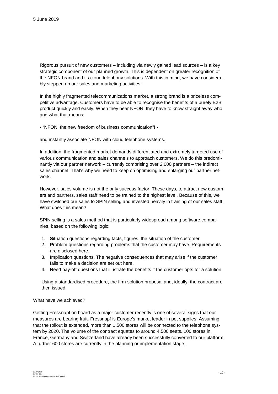Rigorous pursuit of new customers – including via newly gained lead sources – is a key strategic component of our planned growth. This is dependent on greater recognition of the NFON brand and its cloud telephony solutions. With this in mind, we have considerably stepped up our sales and marketing activities:

In the highly fragmented telecommunications market, a strong brand is a priceless competitive advantage. Customers have to be able to recognise the benefits of a purely B2B product quickly and easily. When they hear NFON, they have to know straight away who and what that means:

- "NFON, the new freedom of business communication"! -

and instantly associate NFON with cloud telephone systems.

In addition, the fragmented market demands differentiated and extremely targeted use of various communication and sales channels to approach customers. We do this predominantly via our partner network – currently comprising over 2,000 partners – the indirect sales channel. That's why we need to keep on optimising and enlarging our partner network.

However, sales volume is not the only success factor. These days, to attract new customers and partners, sales staff need to be trained to the highest level. Because of this, we have switched our sales to SPIN selling and invested heavily in training of our sales staff. What does this mean?

SPIN selling is a sales method that is particularly widespread among software companies, based on the following logic:

- 1. **S**ituation questions regarding facts, figures, the situation of the customer
- 2. **P**roblem questions regarding problems that the customer may have. Requirements are disclosed here.
- 3. **I**mplication questions. The negative consequences that may arise if the customer fails to make a decision are set out here.
- 4. **N**eed pay-off questions that illustrate the benefits if the customer opts for a solution.

Using a standardised procedure, the firm solution proposal and, ideally, the contract are then issued.

#### What have we achieved?

Getting Fressnapf on board as a major customer recently is one of several signs that our measures are bearing fruit. Fressnapf is Europe's market leader in pet supplies. Assuming that the rollout is extended, more than 1,500 stores will be connected to the telephone system by 2020. The volume of the contract equates to around 4,500 seats. 100 stores in France, Germany and Switzerland have already been successfully converted to our platform. A further 600 stores are currently in the planning or implementation stage.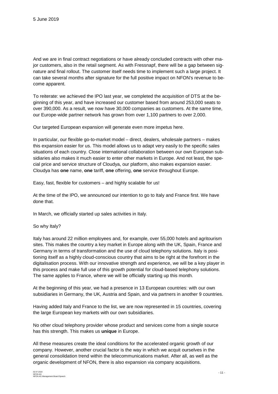And we are in final contract negotiations or have already concluded contracts with other major customers, also in the retail segment. As with Fressnapf, there will be a gap between signature and final rollout. The customer itself needs time to implement such a large project. It can take several months after signature for the full positive impact on NFON's revenue to become apparent.

To reiterate: we achieved the IPO last year, we completed the acquisition of DTS at the beginning of this year, and have increased our customer based from around 253,000 seats to over 390,000. As a result, we now have 30,000 companies as customers. At the same time, our Europe-wide partner network has grown from over 1,100 partners to over 2,000.

Our targeted European expansion will generate even more impetus here.

In particular, our flexible go-to-market model – direct, dealers, wholesale partners – makes this expansion easier for us. This model allows us to adapt very easily to the specific sales situations of each country. Close international collaboration between our own European subsidiaries also makes it much easier to enter other markets in Europe. And not least, the special price and service structure of Cloudya, our platform, also makes expansion easier. Cloudya has **one** name, **one** tariff, **one** offering, **one** service throughout Europe.

Easy, fast, flexible for customers – and highly scalable for us!

At the time of the IPO, we announced our intention to go to Italy and France first. We have done that.

In March, we officially started up sales activities in Italy.

#### So why Italy?

Italy has around 22 million employees and, for example, over 55,000 hotels and agritourism sites. This makes the country a key market in Europe along with the UK, Spain, France and Germany in terms of transformation and the use of cloud telephony solutions. Italy is positioning itself as a highly cloud-conscious country that aims to be right at the forefront in the digitalisation process. With our innovative strength and experience, we will be a key player in this process and make full use of this growth potential for cloud-based telephony solutions. The same applies to France, where we will be officially starting up this month.

At the beginning of this year, we had a presence in 13 European countries: with our own subsidiaries in Germany, the UK, Austria and Spain, and via partners in another 9 countries.

Having added Italy and France to the list, we are now represented in 15 countries, covering the large European key markets with our own subsidiaries.

No other cloud telephony provider whose product and services come from a single source has this strength. This makes us **unique** in Europe.

All these measures create the ideal conditions for the accelerated organic growth of our company. However, another crucial factor is the way in which we acquit ourselves in the general consolidation trend within the telecommunications market. After all, as well as the organic development of NFON, there is also expansion via company acquisitions.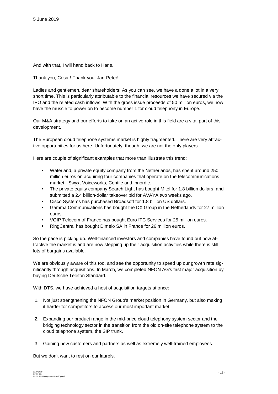And with that, I will hand back to Hans.

Thank you, César! Thank you, Jan-Peter!

Ladies and gentlemen, dear shareholders! As you can see, we have a done a lot in a very short time. This is particularly attributable to the financial resources we have secured via the IPO and the related cash inflows. With the gross issue proceeds of 50 million euros, we now have the muscle to power on to become number 1 for cloud telephony in Europe.

Our M&A strategy and our efforts to take on an active role in this field are a vital part of this development.

The European cloud telephone systems market is highly fragmented. There are very attractive opportunities for us here. Unfortunately, though, we are not the only players.

Here are couple of significant examples that more than illustrate this trend:

- Waterland, a private equity company from the Netherlands, has spent around 250 million euros on acquiring four companies that operate on the telecommunications market - Swyx, Voiceworks, Centile and ipnordic.
- The private equity company Search Light has bought Mitel for 1.8 billion dollars, and submitted a 2.4 billion-dollar takeover bid for AVAYA two weeks ago.
- Cisco Systems has purchased Broadsoft for 1.8 billion US dollars.
- Gamma Communications has bought the DX Group in the Netherlands for 27 million euros.
- VOIP Telecom of France has bought Euro ITC Services for 25 million euros.
- **RingCentral has bought Dimelo SA in France for 26 million euros.**

So the pace is picking up. Well-financed investors and companies have found out how attractive the market is and are now stepping up their acquisition activities while there is still lots of bargains available.

We are obviously aware of this too, and see the opportunity to speed up our growth rate significantly through acquisitions. In March, we completed NFON AG's first major acquisition by buying Deutsche Telefon Standard.

With DTS, we have achieved a host of acquisition targets at once:

- 1. Not just strengthening the NFON Group's market position in Germany, but also making it harder for competitors to access our most important market.
- 2. Expanding our product range in the mid-price cloud telephony system sector and the bridging technology sector in the transition from the old on-site telephone system to the cloud telephone system, the SIP trunk.
- 3. Gaining new customers and partners as well as extremely well-trained employees.

But we don't want to rest on our laurels.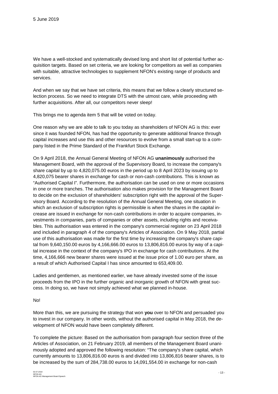We have a well-stocked and systematically devised long and short list of potential further acquisition targets. Based on set criteria, we are looking for competitors as well as companies with suitable, attractive technologies to supplement NFON's existing range of products and services.

And when we say that we have set criteria, this means that we follow a clearly structured selection process. So we need to integrate DTS with the utmost care, while proceeding with further acquisitions. After all, our competitors never sleep!

This brings me to agenda item 5 that will be voted on today.

One reason why we are able to talk to you today as shareholders of NFON AG is this: ever since it was founded NFON, has had the opportunity to generate additional finance through capital increases and use this and other resources to evolve from a small start-up to a company listed in the Prime Standard of the Frankfurt Stock Exchange.

On 9 April 2018, the Annual General Meeting of NFON AG **unanimously** authorised the Management Board, with the approval of the Supervisory Board, to increase the company's share capital by up to 4,820,075.00 euros in the period up to 8 April 2023 by issuing up to 4,820,075 bearer shares in exchange for cash or non-cash contributions. This is known as "Authorised Capital I". Furthermore, the authorisation can be used on one or more occasions in one or more tranches. The authorisation also makes provision for the Management Board to decide on the exclusion of shareholders' subscription right with the approval of the Supervisory Board. According to the resolution of the Annual General Meeting, one situation in which an exclusion of subscription rights is permissible is when the shares in the capital increase are issued in exchange for non-cash contributions in order to acquire companies, investments in companies, parts of companies or other assets, including rights and receivables. This authorisation was entered in the company's commercial register on 23 April 2018 and included in paragraph 4 of the company's Articles of Association. On 9 May 2018, partial use of this authorisation was made for the first time by increasing the company's share capital from 9,640,150.00 euros by 4,166,666.00 euros to 13,806,816.00 euros by way of a capital increase in the context of the company's IPO in exchange for cash contributions. At the time, 4,166,666 new bearer shares were issued at the issue price of 1.00 euro per share, as a result of which Authorised Capital I has since amounted to 653,409.00.

Ladies and gentlemen, as mentioned earlier, we have already invested some of the issue proceeds from the IPO in the further organic and inorganic growth of NFON with great success. In doing so, we have not simply achieved what we planned in-house.

#### No!

More than this, we are pursuing the strategy that won **you** over to NFON and persuaded you to invest in our company. In other words, without the authorised capital in May 2018, the development of NFON would have been completely different.

To complete the picture: Based on the authorisation from paragraph four section three of the Articles of Association, on 21 February 2019, all members of the Management Board unanimously adopted and approved the following resolution: "The company's share capital, which currently amounts to 13,806,816.00 euros is and divided into 13,806,816 bearer shares, is to be increased by the sum of 284,738.00 euros to 14,091,554.00 in exchange for non-cash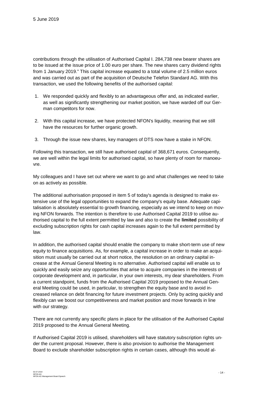contributions through the utilisation of Authorised Capital I. 284,738 new bearer shares are to be issued at the issue price of 1.00 euro per share. The new shares carry dividend rights from 1 January 2019." This capital increase equated to a total volume of 2.5 million euros and was carried out as part of the acquisition of Deutsche Telefon Standard AG. With this transaction, we used the following benefits of the authorised capital:

- 1. We responded quickly and flexibly to an advantageous offer and, as indicated earlier, as well as significantly strengthening our market position, we have warded off our German competitors for now.
- 2. With this capital increase, we have protected NFON's liquidity, meaning that we still have the resources for further organic growth.
- 3. Through the issue new shares, key managers of DTS now have a stake in NFON.

Following this transaction, we still have authorised capital of 368,671 euros. Consequently, we are well within the legal limits for authorised capital, so have plenty of room for manoeuvre.

My colleagues and I have set out where we want to go and what challenges we need to take on as actively as possible.

The additional authorisation proposed in item 5 of today's agenda is designed to make extensive use of the legal opportunities to expand the company's equity base. Adequate capitalisation is absolutely essential to growth financing, especially as we intend to keep on moving NFON forwards. The intention is therefore to use Authorised Capital 2019 to utilise authorised capital to the full extent permitted by law and also to create the **limited** possibility of excluding subscription rights for cash capital increases again to the full extent permitted by law.

In addition, the authorised capital should enable the company to make short-term use of new equity to finance acquisitions. As, for example, a capital increase in order to make an acquisition must usually be carried out at short notice, the resolution on an ordinary capital increase at the Annual General Meeting is no alternative. Authorised capital will enable us to quickly and easily seize any opportunities that arise to acquire companies in the interests of corporate development and, in particular, in your own interests, my dear shareholders. From a current standpoint, funds from the Authorised Capital 2019 proposed to the Annual General Meeting could be used, in particular, to strengthen the equity base and to avoid increased reliance on debt financing for future investment projects. Only by acting quickly and flexibly can we boost our competitiveness and market position and move forwards in line with our strategy.

There are not currently any specific plans in place for the utilisation of the Authorised Capital 2019 proposed to the Annual General Meeting.

If Authorised Capital 2019 is utilised, shareholders will have statutory subscription rights under the current proposal. However, there is also provision to authorise the Management Board to exclude shareholder subscription rights in certain cases, although this would al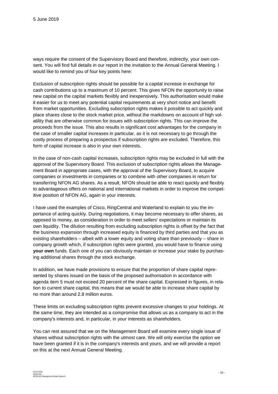ways require the consent of the Supervisory Board and therefore, indirectly, your own consent. You will find full details in our report in the invitation to the Annual General Meeting. I would like to remind you of four key points here:

Exclusion of subscription rights should be possible for a capital increase in exchange for cash contributions up to a maximum of 10 percent. This gives NFON the opportunity to raise new capital on the capital markets flexibly and inexpensively. This authorisation would make it easier for us to meet any potential capital requirements at very short notice and benefit from market opportunities. Excluding subscription rights makes it possible to act quickly and place shares close to the stock market price, without the markdowns on account of high volatility that are otherwise common for issues with subscription rights. This can improve the proceeds from the issue. This also results in significant cost advantages for the company in the case of smaller capital increases in particular, as it is not necessary to go through the costly process of preparing a prospectus if subscription rights are excluded. Therefore, this form of capital increase is also in your own interests.

In the case of non-cash capital increases, subscription rights may be excluded in full with the approval of the Supervisory Board. This exclusion of subscription rights allows the Management Board in appropriate cases, with the approval of the Supervisory Board, to acquire companies or investments in companies or to combine with other companies in return for transferring NFON AG shares. As a result, NFON should be able to react quickly and flexibly to advantageous offers on national and international markets in order to improve the competitive position of NFON AG, again in your interests.

I have used the examples of Cisco, RingCentral and Waterland to explain to you the importance of acting quickly. During negotiations, it may become necessary to offer shares, as opposed to money, as consideration in order to meet sellers' expectations or maintain its own liquidity. The dilution resulting from excluding subscription rights is offset by the fact that the business expansion through increased equity is financed by third parties and that you as existing shareholders – albeit with a lower equity and voting share than previously – share in company growth which, if subscription rights were granted, you would have to finance using **your own** funds. Each one of you can obviously maintain or increase your stake by purchasing additional shares through the stock exchange.

In addition, we have made provisions to ensure that the proportion of share capital represented by shares issued on the basis of the proposed authorisation in accordance with agenda item 5 must not exceed 20 percent of the share capital. Expressed in figures, in relation to current share capital, this means that we would be able to increase share capital by no more than around 2.8 million euros.

These limits on excluding subscription rights prevent excessive changes to your holdings. At the same time, they are intended as a compromise that allows us as a company to act in the company's interests and, in particular, in your interests as shareholders.

You can rest assured that we on the Management Board will examine every single issue of shares without subscription rights with the utmost care. We will only exercise the option we have been granted if it is in the company's interests and yours, and we will provide a report on this at the next Annual General Meeting.